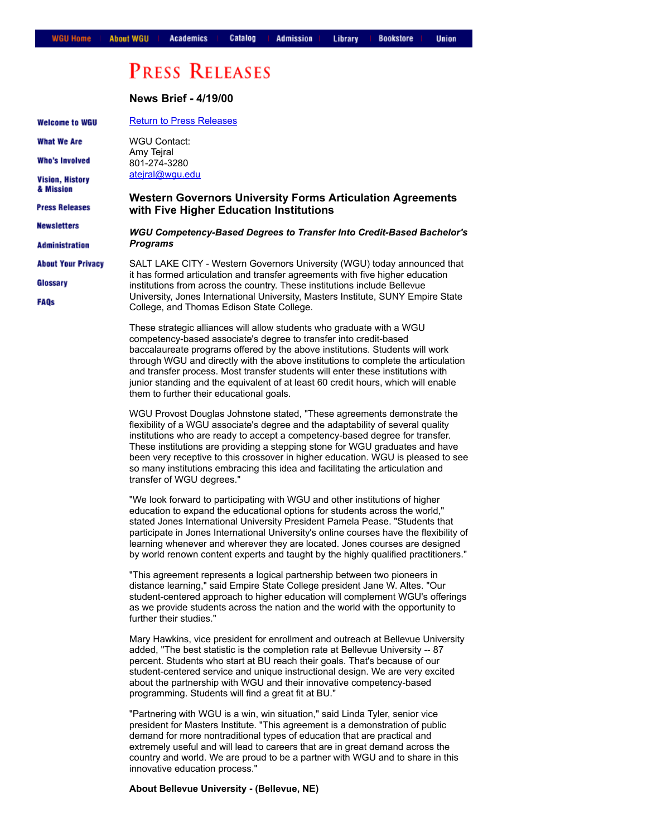**Union** 

# **PRESS RELEASES**

**News Brief 4/19/00** [Return to Press Releases](https://web.archive.org/web/20001119041300/http://www.wgu.edu/wgu/about/press.html) **Welcome to WGU What We Are** WGU Contact: Amy Tejral **Who's Involved** 8012743280 [atejral@wgu.edu](mailto:atejral@wgu.edu) **Vision, History** & Mission **Western Governors University Forms Articulation Agreements Press Releases with Five Higher Education Institutions Newsletters WGU Competency-Based Degrees to Transfer Into Credit-Based Bachelor's** *Programs* **Administration About Your Privacy** SALT LAKE CITY - Western Governors University (WGU) today announced that it has formed articulation and transfer agreements with five higher education Glossary institutions from across the country. These institutions include Bellevue University, Jones International University, Masters Institute, SUNY Empire State **FAQs** College, and Thomas Edison State College. These strategic alliances will allow students who graduate with a WGU competency-based associate's degree to transfer into credit-based baccalaureate programs offered by the above institutions. Students will work through WGU and directly with the above institutions to complete the articulation and transfer process. Most transfer students will enter these institutions with junior standing and the equivalent of at least 60 credit hours, which will enable them to further their educational goals. WGU Provost Douglas Johnstone stated, "These agreements demonstrate the flexibility of a WGU associate's degree and the adaptability of several quality institutions who are ready to accept a competency-based degree for transfer. These institutions are providing a stepping stone for WGU graduates and have been very receptive to this crossover in higher education. WGU is pleased to see so many institutions embracing this idea and facilitating the articulation and transfer of WGU degrees." "We look forward to participating with WGU and other institutions of higher

education to expand the educational options for students across the world," stated Jones International University President Pamela Pease. "Students that participate in Jones International University's online courses have the flexibility of learning whenever and wherever they are located. Jones courses are designed by world renown content experts and taught by the highly qualified practitioners."

"This agreement represents a logical partnership between two pioneers in distance learning," said Empire State College president Jane W. Altes. "Our student-centered approach to higher education will complement WGU's offerings as we provide students across the nation and the world with the opportunity to further their studies."

Mary Hawkins, vice president for enrollment and outreach at Bellevue University added, "The best statistic is the completion rate at Bellevue University -- 87 percent. Students who start at BU reach their goals. That's because of our student-centered service and unique instructional design. We are very excited about the partnership with WGU and their innovative competency-based programming. Students will find a great fit at BU."

"Partnering with WGU is a win, win situation," said Linda Tyler, senior vice president for Masters Institute. "This agreement is a demonstration of public demand for more nontraditional types of education that are practical and extremely useful and will lead to careers that are in great demand across the country and world. We are proud to be a partner with WGU and to share in this innovative education process."

# **About Bellevue University (Bellevue, NE)**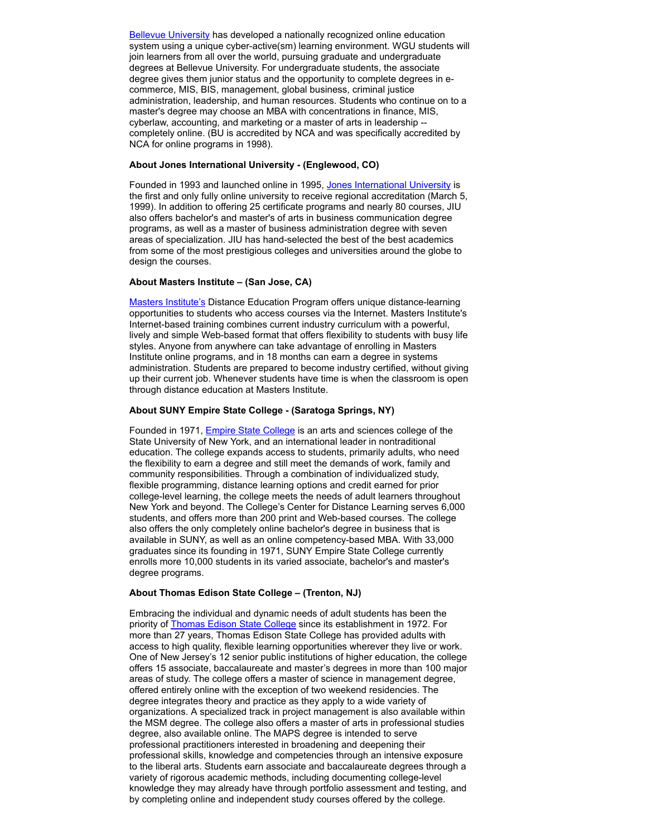**Bellevue University** has developed a nationally recognized online education system using a unique cyber-active(sm) learning environment. WGU students will join learners from all over the world, pursuing graduate and undergraduate degrees at Bellevue University. For undergraduate students, the associate degree gives them junior status and the opportunity to complete degrees in ecommerce, MIS, BIS, management, global business, criminal justice administration, leadership, and human resources. Students who continue on to a master's degree may choose an MBA with concentrations in finance, MIS, cyberlaw, accounting, and marketing or a master of arts in leadership completely online. (BU is accredited by NCA and was specifically accredited by NCA for online programs in 1998).

## **About Jones International University (Englewood, CO)**

Founded in 1993 and launched online in 1995, [Jones International University](https://web.archive.org/web/20001119041300/http://www.jonesinternational.edu/) is the first and only fully online university to receive regional accreditation (March 5, 1999). In addition to offering 25 certificate programs and nearly 80 courses, JIU also offers bachelor's and master's of arts in business communication degree programs, as well as a master of business administration degree with seven areas of specialization. JIU has hand-selected the best of the best academics from some of the most prestigious colleges and universities around the globe to design the courses.

## **About Masters Institute – (San Jose, CA)**

[Masters Institute's](https://web.archive.org/web/20001119041300/http://www.matersinstitute.edu/) Distance Education Program offers unique distance-learning opportunities to students who access courses via the Internet. Masters Institute's Internet-based training combines current industry curriculum with a powerful, lively and simple Web-based format that offers flexibility to students with busy life styles. Anyone from anywhere can take advantage of enrolling in Masters Institute online programs, and in 18 months can earn a degree in systems administration. Students are prepared to become industry certified, without giving up their current job. Whenever students have time is when the classroom is open through distance education at Masters Institute.

#### **About SUNY Empire State College (Saratoga Springs, NY)**

Founded in 1971, **Empire State College** is an arts and sciences college of the State University of New York, and an international leader in nontraditional education. The college expands access to students, primarily adults, who need the flexibility to earn a degree and still meet the demands of work, family and community responsibilities. Through a combination of individualized study, flexible programming, distance learning options and credit earned for prior college-level learning, the college meets the needs of adult learners throughout New York and beyond. The College's Center for Distance Learning serves 6,000 students, and offers more than 200 print and Web-based courses. The college also offers the only completely online bachelor's degree in business that is available in SUNY, as well as an online competency-based MBA. With 33,000 graduates since its founding in 1971, SUNY Empire State College currently enrolls more 10,000 students in its varied associate, bachelor's and master's degree programs.

#### **About Thomas Edison State College – (Trenton, NJ)**

Embracing the individual and dynamic needs of adult students has been the priority of [Thomas Edison State College](https://web.archive.org/web/20001119041300/http://www.tesc.edu/) since its establishment in 1972. For more than 27 years, Thomas Edison State College has provided adults with access to high quality, flexible learning opportunities wherever they live or work. One of New Jersey's 12 senior public institutions of higher education, the college offers 15 associate, baccalaureate and master's degrees in more than 100 major areas of study. The college offers a master of science in management degree, offered entirely online with the exception of two weekend residencies. The degree integrates theory and practice as they apply to a wide variety of organizations. A specialized track in project management is also available within the MSM degree. The college also offers a master of arts in professional studies degree, also available online. The MAPS degree is intended to serve professional practitioners interested in broadening and deepening their professional skills, knowledge and competencies through an intensive exposure to the liberal arts. Students earn associate and baccalaureate degrees through a variety of rigorous academic methods, including documenting college-level knowledge they may already have through portfolio assessment and testing, and by completing online and independent study courses offered by the college.